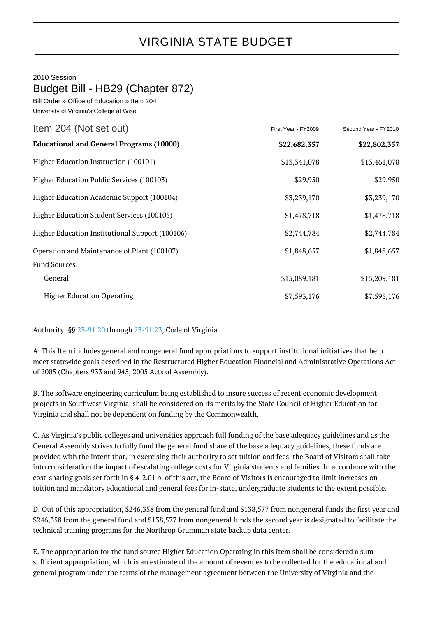## VIRGINIA STATE BUDGET

## 2010 Session

## Budget Bill - HB29 (Chapter 872)

Bill Order » Office of Education » Item 204 University of Virginia's College at Wise

| Item 204 (Not set out)                          | First Year - FY2009 | Second Year - FY2010 |
|-------------------------------------------------|---------------------|----------------------|
| <b>Educational and General Programs (10000)</b> | \$22,682,357        | \$22,802,357         |
| Higher Education Instruction (100101)           | \$13,341,078        | \$13,461,078         |
| Higher Education Public Services (100103)       | \$29,950            | \$29,950             |
| Higher Education Academic Support (100104)      | \$3,239,170         | \$3,239,170          |
| Higher Education Student Services (100105)      | \$1,478,718         | \$1,478,718          |
| Higher Education Institutional Support (100106) | \$2,744,784         | \$2,744,784          |
| Operation and Maintenance of Plant (100107)     | \$1,848,657         | \$1,848,657          |
| Fund Sources:                                   |                     |                      |
| General                                         | \$15,089,181        | \$15,209,181         |
| <b>Higher Education Operating</b>               | \$7,593,176         | \$7,593,176          |

Authority: §§ [23-91.20](http://law.lis.virginia.gov/vacode/23-91.20/) through [23-91.23](http://law.lis.virginia.gov/vacode/23-91.23/), Code of Virginia.

A. This Item includes general and nongeneral fund appropriations to support institutional initiatives that help meet statewide goals described in the Restructured Higher Education Financial and Administrative Operations Act of 2005 (Chapters 933 and 945, 2005 Acts of Assembly).

B. The software engineering curriculum being established to insure success of recent economic development projects in Southwest Virginia, shall be considered on its merits by the State Council of Higher Education for Virginia and shall not be dependent on funding by the Commonwealth.

C. As Virginia's public colleges and universities approach full funding of the base adequacy guidelines and as the General Assembly strives to fully fund the general fund share of the base adequacy guidelines, these funds are provided with the intent that, in exercising their authority to set tuition and fees, the Board of Visitors shall take into consideration the impact of escalating college costs for Virginia students and families. In accordance with the cost-sharing goals set forth in § 4-2.01 b. of this act, the Board of Visitors is encouraged to limit increases on tuition and mandatory educational and general fees for in-state, undergraduate students to the extent possible.

D. Out of this appropriation, \$246,358 from the general fund and \$138,577 from nongeneral funds the first year and \$246,358 from the general fund and \$138,577 from nongeneral funds the second year is designated to facilitate the technical training programs for the Northrop Grumman state backup data center.

E. The appropriation for the fund source Higher Education Operating in this Item shall be considered a sum sufficient appropriation, which is an estimate of the amount of revenues to be collected for the educational and general program under the terms of the management agreement between the University of Virginia and the